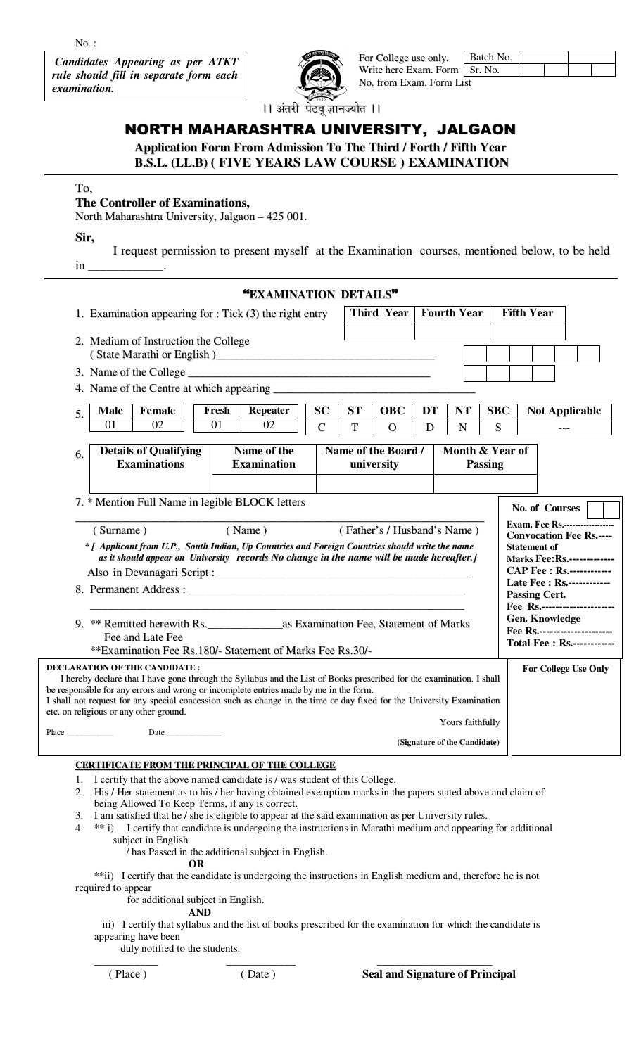$No.$ :

**Candidates Appearing as per ATKT** rule should fill in separate form each examination.



For College use only. Batch No. Sr. No. Write here Exam. Form No. from Exam. Form List

।। अंतरी पेटवू ज्ञानज्योत ।।

# NORTH MAHARASHTRA UNIVERSITY, JALGAON

**Application Form From Admission To The Third / Forth / Fifth Year B.S.L. (LL.B) ( FIVE YEARS LAW COURSE ) EXAMINATION** 

## To,

## The Controller of Examinations,

North Maharashtra University, Jalgaon – 425 001.

Sir,

I request permission to present myself at the Examination courses, mentioned below, to be held in

|                                                                                                                                                                                                                                                                                                                                                                                                                                                                                                                                                                                                                                                                                                                                                                    | "EXAMINATION DETAILS"                |                                            |                        |         |                                                  |                 |                              |  |  |
|--------------------------------------------------------------------------------------------------------------------------------------------------------------------------------------------------------------------------------------------------------------------------------------------------------------------------------------------------------------------------------------------------------------------------------------------------------------------------------------------------------------------------------------------------------------------------------------------------------------------------------------------------------------------------------------------------------------------------------------------------------------------|--------------------------------------|--------------------------------------------|------------------------|---------|--------------------------------------------------|-----------------|------------------------------|--|--|
| 1. Examination appearing for $:$ Tick $(3)$ the right entry                                                                                                                                                                                                                                                                                                                                                                                                                                                                                                                                                                                                                                                                                                        |                                      |                                            | <b>Third Year</b>      |         | <b>Fourth Year</b>                               |                 | <b>Fifth Year</b>            |  |  |
| 2. Medium of Instruction the College                                                                                                                                                                                                                                                                                                                                                                                                                                                                                                                                                                                                                                                                                                                               |                                      |                                            |                        |         |                                                  |                 |                              |  |  |
|                                                                                                                                                                                                                                                                                                                                                                                                                                                                                                                                                                                                                                                                                                                                                                    |                                      |                                            |                        |         |                                                  |                 |                              |  |  |
|                                                                                                                                                                                                                                                                                                                                                                                                                                                                                                                                                                                                                                                                                                                                                                    |                                      |                                            |                        |         |                                                  |                 |                              |  |  |
| <b>Male</b><br>Female<br>5.<br>01<br>02                                                                                                                                                                                                                                                                                                                                                                                                                                                                                                                                                                                                                                                                                                                            | <b>Repeater</b><br>Fresh<br>01<br>02 | <b>SC</b><br><b>ST</b><br>$\mathbf C$<br>T | <b>OBC</b><br>$\Omega$ | DT<br>D | <b>NT</b><br>$\mathbf N$                         | <b>SBC</b><br>S | <b>Not Applicable</b><br>--- |  |  |
| <b>Details of Qualifying</b><br>6.<br><b>Examinations</b>                                                                                                                                                                                                                                                                                                                                                                                                                                                                                                                                                                                                                                                                                                          | Name of the<br><b>Examination</b>    | Name of the Board /                        | university             |         | Month & Year of                                  | <b>Passing</b>  |                              |  |  |
| 7. * Mention Full Name in legible BLOCK letters<br>No. of Courses<br><b>Exam. Fee Rs.-----------------</b><br>(Surname)<br>(Name)<br>(Father's / Husband's Name)<br><b>Convocation Fee Rs.----</b><br>* [ Applicant from U.P., South Indian, Up Countries and Foreign Countries should write the name<br><b>Statement of</b><br>as it should appear on University records No change in the name will be made hereafter.]<br><b>Marks Fee: Rs.-------------</b><br><b>CAP Fee : Rs.------------</b><br>Late Fee : Rs.------------<br>8. Permanent Address: University of the contract of the contract of the contract of the contract of the contract of the contract of the contract of the contract of the contract of the contract of the contract of the contra |                                      |                                            |                        |         |                                                  |                 |                              |  |  |
| <b>Passing Cert.</b><br>Fee Rs.----------------------<br>Gen. Knowledge<br>Fee Rs.---------------------<br>Fee and Late Fee<br><b>Total Fee: Rs.------------</b><br>**Examination Fee Rs.180/- Statement of Marks Fee Rs.30/-                                                                                                                                                                                                                                                                                                                                                                                                                                                                                                                                      |                                      |                                            |                        |         |                                                  |                 |                              |  |  |
| <b>DECLARATION OF THE CANDIDATE:</b><br>I hereby declare that I have gone through the Syllabus and the List of Books prescribed for the examination. I shall<br>be responsible for any errors and wrong or incomplete entries made by me in the form.<br>I shall not request for any special concession such as change in the time or day fixed for the University Examination<br>etc. on religious or any other ground.                                                                                                                                                                                                                                                                                                                                           |                                      |                                            |                        |         | Yours faithfully<br>(Signature of the Candidate) |                 | <b>For College Use Only</b>  |  |  |

### **CERTIFICATE FROM THE PRINCIPAL OF THE COLLEGE**

- I certify that the above named candidate is / was student of this College. 1.
- His / Her statement as to his / her having obtained exemption marks in the papers stated above and claim of  $2.$ being Allowed To Keep Terms, if any is correct.
- 3. I am satisfied that he / she is eligible to appear at the said examination as per University rules.
- $4.$ \*\* i) I certify that candidate is undergoing the instructions in Marathi medium and appearing for additional subject in English

/ has Passed in the additional subject in English.

OR

\*\*ii) I certify that the candidate is undergoing the instructions in English medium and, therefore he is not required to appear

for additional subject in English.

### **AND**

iii) I certify that syllabus and the list of books prescribed for the examination for which the candidate is appearing have been

duly notified to the students.

(Place)